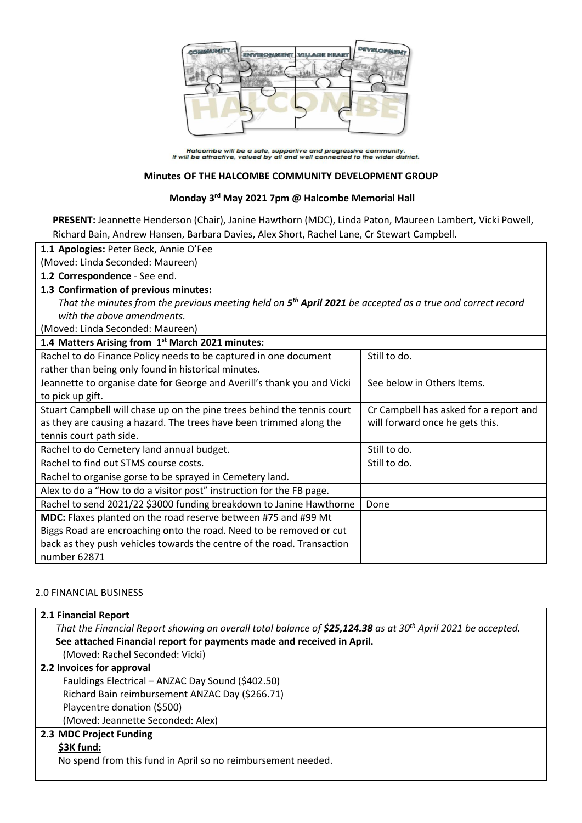

Halcombe will be a safe, supportive and progressive community.<br>It will be attractive, valued by all and well connected to the wider district.

### **Minutes OF THE HALCOMBE COMMUNITY DEVELOPMENT GROUP**

# **Monday 3 rd May 2021 7pm @ Halcombe Memorial Hall**

**PRESENT:** Jeannette Henderson (Chair), Janine Hawthorn (MDC), Linda Paton, Maureen Lambert, Vicki Powell, Richard Bain, Andrew Hansen, Barbara Davies, Alex Short, Rachel Lane, Cr Stewart Campbell.

| 1.1 Apologies: Peter Beck, Annie O'Fee                                                                       |                                        |  |
|--------------------------------------------------------------------------------------------------------------|----------------------------------------|--|
| (Moved: Linda Seconded: Maureen)                                                                             |                                        |  |
| 1.2 Correspondence - See end.                                                                                |                                        |  |
| 1.3 Confirmation of previous minutes:                                                                        |                                        |  |
| That the minutes from the previous meeting held on $5th$ April 2021 be accepted as a true and correct record |                                        |  |
| with the above amendments.                                                                                   |                                        |  |
| (Moved: Linda Seconded: Maureen)                                                                             |                                        |  |
| 1.4 Matters Arising from 1st March 2021 minutes:                                                             |                                        |  |
| Rachel to do Finance Policy needs to be captured in one document                                             | Still to do.                           |  |
| rather than being only found in historical minutes.                                                          |                                        |  |
| Jeannette to organise date for George and Averill's thank you and Vicki                                      | See below in Others Items.             |  |
| to pick up gift.                                                                                             |                                        |  |
| Stuart Campbell will chase up on the pine trees behind the tennis court                                      | Cr Campbell has asked for a report and |  |
| as they are causing a hazard. The trees have been trimmed along the                                          | will forward once he gets this.        |  |
| tennis court path side.                                                                                      |                                        |  |
| Rachel to do Cemetery land annual budget.                                                                    | Still to do.                           |  |
| Rachel to find out STMS course costs.                                                                        | Still to do.                           |  |
| Rachel to organise gorse to be sprayed in Cemetery land.                                                     |                                        |  |
| Alex to do a "How to do a visitor post" instruction for the FB page.                                         |                                        |  |
| Rachel to send 2021/22 \$3000 funding breakdown to Janine Hawthorne                                          | Done                                   |  |
| MDC: Flaxes planted on the road reserve between #75 and #99 Mt                                               |                                        |  |
| Biggs Road are encroaching onto the road. Need to be removed or cut                                          |                                        |  |
| back as they push vehicles towards the centre of the road. Transaction                                       |                                        |  |
| number 62871                                                                                                 |                                        |  |
|                                                                                                              |                                        |  |

#### 2.0 FINANCIAL BUSINESS

| 2.1 Financial Report                                                                                                      |
|---------------------------------------------------------------------------------------------------------------------------|
| That the Financial Report showing an overall total balance of $$25,124.38$ as at 30 <sup>th</sup> April 2021 be accepted. |
| See attached Financial report for payments made and received in April.                                                    |
| (Moved: Rachel Seconded: Vicki)                                                                                           |
| 2.2 Invoices for approval                                                                                                 |
| Fauldings Electrical - ANZAC Day Sound (\$402.50)                                                                         |
| Richard Bain reimbursement ANZAC Day (\$266.71)                                                                           |
| Playcentre donation (\$500)                                                                                               |
| (Moved: Jeannette Seconded: Alex)                                                                                         |
| 2.3 MDC Project Funding                                                                                                   |
| \$3K fund:                                                                                                                |
| No spend from this fund in April so no reimbursement needed.                                                              |
|                                                                                                                           |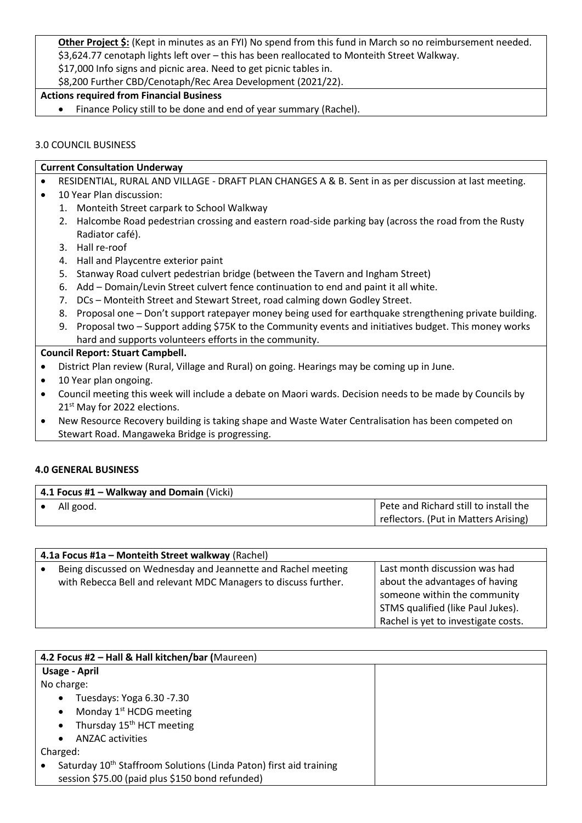**Other Project \$:** (Kept in minutes as an FYI) No spend from this fund in March so no reimbursement needed. \$3,624.77 cenotaph lights left over – this has been reallocated to Monteith Street Walkway. \$17,000 Info signs and picnic area. Need to get picnic tables in.

\$8,200 Further CBD/Cenotaph/Rec Area Development (2021/22).

## **Actions required from Financial Business**

• Finance Policy still to be done and end of year summary (Rachel).

## 3.0 COUNCIL BUSINESS

#### **Current Consultation Underway**

- RESIDENTIAL, RURAL AND VILLAGE DRAFT PLAN CHANGES A & B. Sent in as per discussion at last meeting.
- 10 Year Plan discussion:
	- 1. Monteith Street carpark to School Walkway
	- 2. Halcombe Road pedestrian crossing and eastern road-side parking bay (across the road from the Rusty Radiator café).
	- 3. Hall re-roof
	- 4. Hall and Playcentre exterior paint
	- 5. Stanway Road culvert pedestrian bridge (between the Tavern and Ingham Street)
	- 6. Add Domain/Levin Street culvert fence continuation to end and paint it all white.
	- 7. DCs Monteith Street and Stewart Street, road calming down Godley Street.
	- 8. Proposal one Don't support ratepayer money being used for earthquake strengthening private building.
	- 9. Proposal two Support adding \$75K to the Community events and initiatives budget. This money works hard and supports volunteers efforts in the community.

## **Council Report: Stuart Campbell.**

- District Plan review (Rural, Village and Rural) on going. Hearings may be coming up in June.
- 10 Year plan ongoing.
- Council meeting this week will include a debate on Maori wards. Decision needs to be made by Councils by 21<sup>st</sup> May for 2022 elections.
- New Resource Recovery building is taking shape and Waste Water Centralisation has been competed on Stewart Road. Mangaweka Bridge is progressing.

#### **4.0 GENERAL BUSINESS**

| $\frac{1}{2}$ 4.1 Focus #1 – Walkway and Domain (Vicki) |                                       |
|---------------------------------------------------------|---------------------------------------|
| All good.                                               | Pete and Richard still to install the |
|                                                         | reflectors. (Put in Matters Arising)  |

| 4.1a Focus #1a - Monteith Street walkway (Rachel)               |                                     |  |
|-----------------------------------------------------------------|-------------------------------------|--|
| Being discussed on Wednesday and Jeannette and Rachel meeting   | Last month discussion was had       |  |
| with Rebecca Bell and relevant MDC Managers to discuss further. | about the advantages of having      |  |
|                                                                 | someone within the community        |  |
|                                                                 | STMS qualified (like Paul Jukes).   |  |
|                                                                 | Rachel is yet to investigate costs. |  |

| 4.2 Focus #2 - Hall & Hall kitchen/bar (Maureen)                               |  |  |
|--------------------------------------------------------------------------------|--|--|
| Usage - April                                                                  |  |  |
| No charge:                                                                     |  |  |
| Tuesdays: Yoga 6.30 -7.30<br>$\bullet$                                         |  |  |
| Monday 1 <sup>st</sup> HCDG meeting<br>$\bullet$                               |  |  |
| Thursday 15 <sup>th</sup> HCT meeting<br>$\bullet$                             |  |  |
| <b>ANZAC activities</b><br>$\bullet$                                           |  |  |
| Charged:                                                                       |  |  |
| Saturday 10 <sup>th</sup> Staffroom Solutions (Linda Paton) first aid training |  |  |
| session \$75.00 (paid plus \$150 bond refunded)                                |  |  |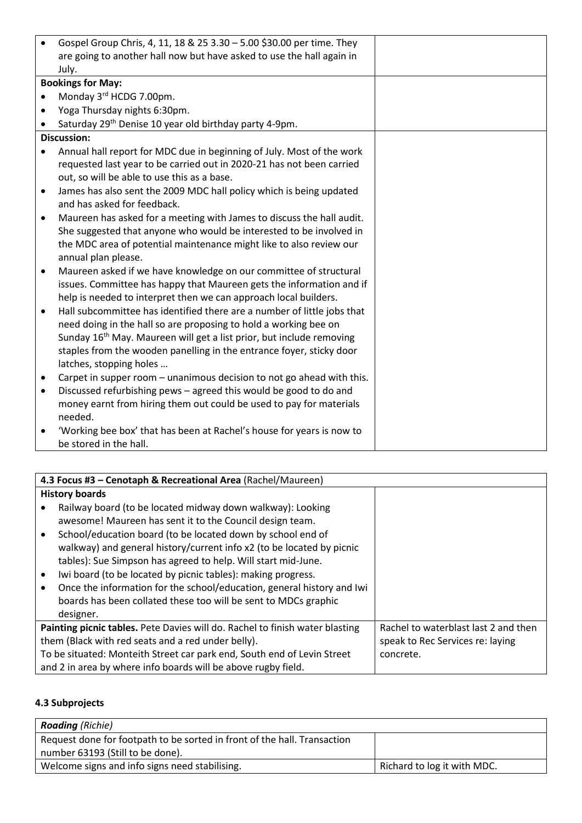| $\bullet$ | Gospel Group Chris, 4, 11, 18 & 25 3.30 - 5.00 \$30.00 per time. They            |
|-----------|----------------------------------------------------------------------------------|
|           | are going to another hall now but have asked to use the hall again in            |
|           | July.                                                                            |
|           | <b>Bookings for May:</b>                                                         |
|           | Monday 3rd HCDG 7.00pm.                                                          |
| $\bullet$ | Yoga Thursday nights 6:30pm.                                                     |
|           | Saturday 29 <sup>th</sup> Denise 10 year old birthday party 4-9pm.               |
|           | <b>Discussion:</b>                                                               |
|           | Annual hall report for MDC due in beginning of July. Most of the work            |
|           | requested last year to be carried out in 2020-21 has not been carried            |
|           | out, so will be able to use this as a base.                                      |
| $\bullet$ | James has also sent the 2009 MDC hall policy which is being updated              |
|           | and has asked for feedback.                                                      |
| $\bullet$ | Maureen has asked for a meeting with James to discuss the hall audit.            |
|           | She suggested that anyone who would be interested to be involved in              |
|           | the MDC area of potential maintenance might like to also review our              |
|           | annual plan please.                                                              |
| $\bullet$ | Maureen asked if we have knowledge on our committee of structural                |
|           | issues. Committee has happy that Maureen gets the information and if             |
|           | help is needed to interpret then we can approach local builders.                 |
| $\bullet$ | Hall subcommittee has identified there are a number of little jobs that          |
|           | need doing in the hall so are proposing to hold a working bee on                 |
|           | Sunday 16 <sup>th</sup> May. Maureen will get a list prior, but include removing |
|           | staples from the wooden panelling in the entrance foyer, sticky door             |
|           | latches, stopping holes                                                          |
| $\bullet$ | Carpet in supper room - unanimous decision to not go ahead with this.            |
| $\bullet$ | Discussed refurbishing pews - agreed this would be good to do and                |
|           | money earnt from hiring them out could be used to pay for materials              |
|           | needed.                                                                          |
|           | 'Working bee box' that has been at Rachel's house for years is now to            |
|           | be stored in the hall.                                                           |

| 4.3 Focus #3 - Cenotaph & Recreational Area (Rachel/Maureen)                 |                                      |  |
|------------------------------------------------------------------------------|--------------------------------------|--|
| <b>History boards</b>                                                        |                                      |  |
| Railway board (to be located midway down walkway): Looking                   |                                      |  |
| awesome! Maureen has sent it to the Council design team.                     |                                      |  |
| School/education board (to be located down by school end of                  |                                      |  |
| walkway) and general history/current info x2 (to be located by picnic        |                                      |  |
| tables): Sue Simpson has agreed to help. Will start mid-June.                |                                      |  |
| Iwi board (to be located by picnic tables): making progress.                 |                                      |  |
| Once the information for the school/education, general history and Iwi       |                                      |  |
| boards has been collated these too will be sent to MDCs graphic              |                                      |  |
| designer.                                                                    |                                      |  |
| Painting picnic tables. Pete Davies will do. Rachel to finish water blasting | Rachel to waterblast last 2 and then |  |
| them (Black with red seats and a red under belly).                           | speak to Rec Services re: laying     |  |
| To be situated: Monteith Street car park end, South end of Levin Street      | concrete.                            |  |
| and 2 in area by where info boards will be above rugby field.                |                                      |  |

# **4.3 Subprojects**

| <b>Roading</b> (Richie)                                                  |                             |  |
|--------------------------------------------------------------------------|-----------------------------|--|
| Request done for footpath to be sorted in front of the hall. Transaction |                             |  |
| number 63193 (Still to be done).                                         |                             |  |
| Welcome signs and info signs need stabilising.                           | Richard to log it with MDC. |  |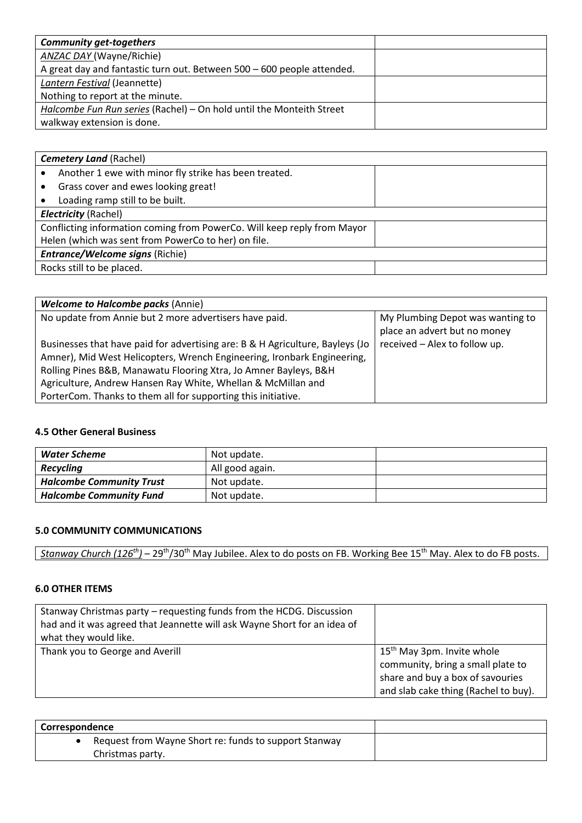| <b>Community get-togethers</b>                                         |  |
|------------------------------------------------------------------------|--|
| ANZAC DAY (Wayne/Richie)                                               |  |
| A great day and fantastic turn out. Between 500 - 600 people attended. |  |
| Lantern Festival (Jeannette)                                           |  |
| Nothing to report at the minute.                                       |  |
| Halcombe Fun Run series (Rachel) - On hold until the Monteith Street   |  |
| walkway extension is done.                                             |  |

| <b>Cemetery Land (Rachel)</b>                       |                                                                         |  |
|-----------------------------------------------------|-------------------------------------------------------------------------|--|
|                                                     | Another 1 ewe with minor fly strike has been treated.                   |  |
| Grass cover and ewes looking great!<br>$\bullet$    |                                                                         |  |
| Loading ramp still to be built.                     |                                                                         |  |
| <b>Electricity (Rachel)</b>                         |                                                                         |  |
|                                                     | Conflicting information coming from PowerCo. Will keep reply from Mayor |  |
| Helen (which was sent from PowerCo to her) on file. |                                                                         |  |
| <b>Entrance/Welcome signs (Richie)</b>              |                                                                         |  |
| Rocks still to be placed.                           |                                                                         |  |

| <b>Welcome to Halcombe packs (Annie)</b>                                      |                                  |  |
|-------------------------------------------------------------------------------|----------------------------------|--|
| No update from Annie but 2 more advertisers have paid.                        | My Plumbing Depot was wanting to |  |
|                                                                               | place an advert but no money     |  |
| Businesses that have paid for advertising are: B & H Agriculture, Bayleys (Jo | received - Alex to follow up.    |  |
| Amner), Mid West Helicopters, Wrench Engineering, Ironbark Engineering,       |                                  |  |
| Rolling Pines B&B, Manawatu Flooring Xtra, Jo Amner Bayleys, B&H              |                                  |  |
| Agriculture, Andrew Hansen Ray White, Whellan & McMillan and                  |                                  |  |
| PorterCom. Thanks to them all for supporting this initiative.                 |                                  |  |

## **4.5 Other General Business**

| Water Scheme                    | Not update.     |  |
|---------------------------------|-----------------|--|
| <b>Recycling</b>                | All good again. |  |
| <b>Halcombe Community Trust</b> | Not update.     |  |
| <b>Halcombe Community Fund</b>  | Not update.     |  |

# **5.0 COMMUNITY COMMUNICATIONS**

*Stanway Church (126th)* – 29th/30th May Jubilee. Alex to do posts on FB. Working Bee 15th May. Alex to do FB posts.

# **6.0 OTHER ITEMS**

| Stanway Christmas party - requesting funds from the HCDG. Discussion     |                                        |
|--------------------------------------------------------------------------|----------------------------------------|
| had and it was agreed that Jeannette will ask Wayne Short for an idea of |                                        |
| what they would like.                                                    |                                        |
| Thank you to George and Averill                                          | 15 <sup>th</sup> May 3pm. Invite whole |
|                                                                          | community, bring a small plate to      |
|                                                                          | share and buy a box of savouries       |
|                                                                          | and slab cake thing (Rachel to buy).   |

| Correspondence |                                                       |  |
|----------------|-------------------------------------------------------|--|
|                | Request from Wayne Short re: funds to support Stanway |  |
|                | Christmas party.                                      |  |